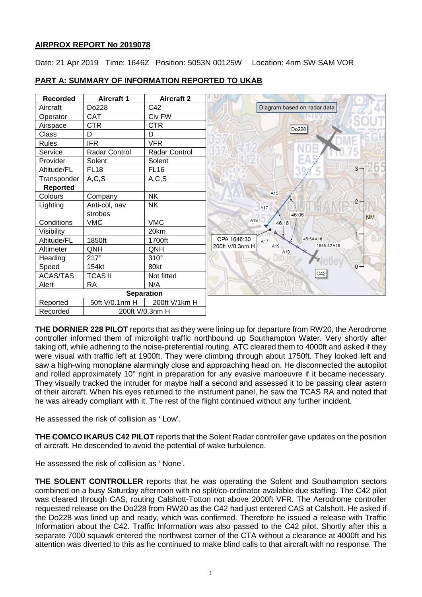## **AIRPROX REPORT No 2019078**

Date: 21 Apr 2019 Time: 1646Z Position: 5053N 00125W Location: 4nm SW SAM VOR



# **PART A: SUMMARY OF INFORMATION REPORTED TO UKAB**

**THE DORNIER 228 PILOT** reports that as they were lining up for departure from RW20, the Aerodrome controller informed them of microlight traffic northbound up Southampton Water. Very shortly after taking off, while adhering to the noise-preferential routing, ATC cleared them to 4000ft and asked if they were visual with traffic left at 1900ft. They were climbing through about 1750ft. They looked left and saw a high-wing monoplane alarmingly close and approaching head on. He disconnected the autopilot and rolled approximately 10° right in preparation for any evasive manoeuvre if it became necessary. They visually tracked the intruder for maybe half a second and assessed it to be passing clear astern of their aircraft. When his eyes returned to the instrument panel, he saw the TCAS RA and noted that he was already compliant with it. The rest of the flight continued without any further incident.

He assessed the risk of collision as ' Low'.

**THE COMCO IKARUS C42 PILOT** reports that the Solent Radar controller gave updates on the position of aircraft. He descended to avoid the potential of wake turbulence.

He assessed the risk of collision as ' None'.

**THE SOLENT CONTROLLER** reports that he was operating the Solent and Southampton sectors combined on a busy Saturday afternoon with no split/co-ordinator available due staffing. The C42 pilot was cleared through CAS, routing Calshott-Totton not above 2000ft VFR. The Aerodrome controller requested release on the Do228 from RW20 as the C42 had just entered CAS at Calshott. He asked if the Do228 was lined up and ready, which was confirmed. Therefore he issued a release with Traffic Information about the C42. Traffic Information was also passed to the C42 pilot. Shortly after this a separate 7000 squawk entered the northwest corner of the CTA without a clearance at 4000ft and his attention was diverted to this as he continued to make blind calls to that aircraft with no response. The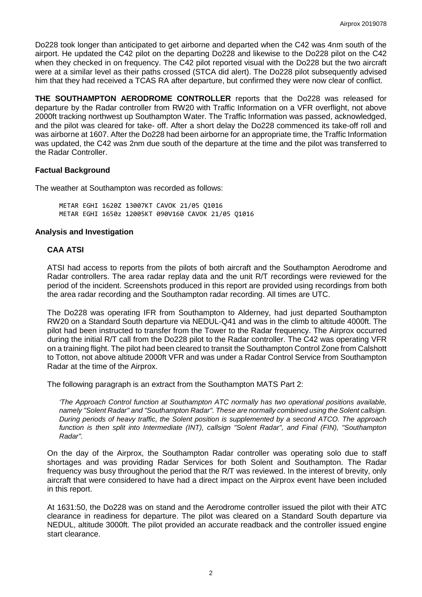Do228 took longer than anticipated to get airborne and departed when the C42 was 4nm south of the airport. He updated the C42 pilot on the departing Do228 and likewise to the Do228 pilot on the C42 when they checked in on frequency. The C42 pilot reported visual with the Do228 but the two aircraft were at a similar level as their paths crossed (STCA did alert). The Do228 pilot subsequently advised him that they had received a TCAS RA after departure, but confirmed they were now clear of conflict.

**THE SOUTHAMPTON AERODROME CONTROLLER** reports that the Do228 was released for departure by the Radar controller from RW20 with Traffic Information on a VFR overflight, not above 2000ft tracking northwest up Southampton Water. The Traffic Information was passed, acknowledged, and the pilot was cleared for take- off. After a short delay the Do228 commenced its take-off roll and was airborne at 1607. After the Do228 had been airborne for an appropriate time, the Traffic Information was updated, the C42 was 2nm due south of the departure at the time and the pilot was transferred to the Radar Controller.

# **Factual Background**

The weather at Southampton was recorded as follows:

METAR EGHI 1620Z 13007KT CAVOK 21/05 Q1016 METAR EGHI 1650z 12005KT 090V160 CAVOK 21/05 Q1016

## **Analysis and Investigation**

# **CAA ATSI**

ATSI had access to reports from the pilots of both aircraft and the Southampton Aerodrome and Radar controllers. The area radar replay data and the unit R/T recordings were reviewed for the period of the incident. Screenshots produced in this report are provided using recordings from both the area radar recording and the Southampton radar recording. All times are UTC.

The Do228 was operating IFR from Southampton to Alderney, had just departed Southampton RW20 on a Standard South departure via NEDUL-Q41 and was in the climb to altitude 4000ft. The pilot had been instructed to transfer from the Tower to the Radar frequency. The Airprox occurred during the initial R/T call from the Do228 pilot to the Radar controller. The C42 was operating VFR on a training flight. The pilot had been cleared to transit the Southampton Control Zone from Calshott to Totton, not above altitude 2000ft VFR and was under a Radar Control Service from Southampton Radar at the time of the Airprox.

The following paragraph is an extract from the Southampton MATS Part 2:

*'The Approach Control function at Southampton ATC normally has two operational positions available, namely "Solent Radar" and "Southampton Radar". These are normally combined using the Solent callsign. During periods of heavy traffic, the Solent position is supplemented by a second ATCO. The approach function is then split into Intermediate (INT), callsign "Solent Radar", and Final (FIN), "Southampton Radar".* 

On the day of the Airprox, the Southampton Radar controller was operating solo due to staff shortages and was providing Radar Services for both Solent and Southampton. The Radar frequency was busy throughout the period that the R/T was reviewed. In the interest of brevity, only aircraft that were considered to have had a direct impact on the Airprox event have been included in this report.

At 1631:50, the Do228 was on stand and the Aerodrome controller issued the pilot with their ATC clearance in readiness for departure. The pilot was cleared on a Standard South departure via NEDUL, altitude 3000ft. The pilot provided an accurate readback and the controller issued engine start clearance.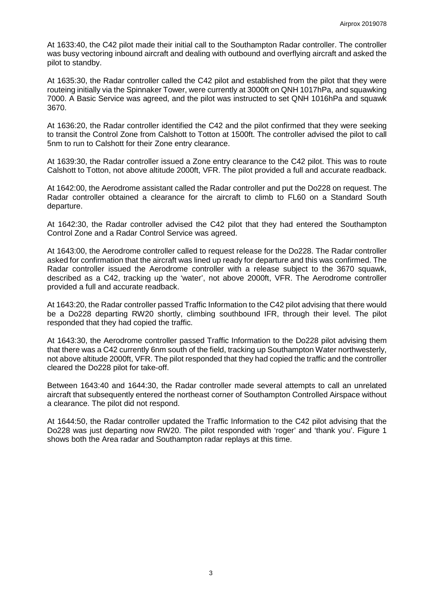At 1633:40, the C42 pilot made their initial call to the Southampton Radar controller. The controller was busy vectoring inbound aircraft and dealing with outbound and overflying aircraft and asked the pilot to standby.

At 1635:30, the Radar controller called the C42 pilot and established from the pilot that they were routeing initially via the Spinnaker Tower, were currently at 3000ft on QNH 1017hPa, and squawking 7000. A Basic Service was agreed, and the pilot was instructed to set QNH 1016hPa and squawk 3670.

At 1636:20, the Radar controller identified the C42 and the pilot confirmed that they were seeking to transit the Control Zone from Calshott to Totton at 1500ft. The controller advised the pilot to call 5nm to run to Calshott for their Zone entry clearance.

At 1639:30, the Radar controller issued a Zone entry clearance to the C42 pilot. This was to route Calshott to Totton, not above altitude 2000ft, VFR. The pilot provided a full and accurate readback.

At 1642:00, the Aerodrome assistant called the Radar controller and put the Do228 on request. The Radar controller obtained a clearance for the aircraft to climb to FL60 on a Standard South departure.

At 1642:30, the Radar controller advised the C42 pilot that they had entered the Southampton Control Zone and a Radar Control Service was agreed.

At 1643:00, the Aerodrome controller called to request release for the Do228. The Radar controller asked for confirmation that the aircraft was lined up ready for departure and this was confirmed. The Radar controller issued the Aerodrome controller with a release subject to the 3670 squawk, described as a C42, tracking up the 'water', not above 2000ft, VFR. The Aerodrome controller provided a full and accurate readback.

At 1643:20, the Radar controller passed Traffic Information to the C42 pilot advising that there would be a Do228 departing RW20 shortly, climbing southbound IFR, through their level. The pilot responded that they had copied the traffic.

At 1643:30, the Aerodrome controller passed Traffic Information to the Do228 pilot advising them that there was a C42 currently 6nm south of the field, tracking up Southampton Water northwesterly, not above altitude 2000ft, VFR. The pilot responded that they had copied the traffic and the controller cleared the Do228 pilot for take-off.

Between 1643:40 and 1644:30, the Radar controller made several attempts to call an unrelated aircraft that subsequently entered the northeast corner of Southampton Controlled Airspace without a clearance. The pilot did not respond.

At 1644:50, the Radar controller updated the Traffic Information to the C42 pilot advising that the Do228 was just departing now RW20. The pilot responded with 'roger' and 'thank you'. Figure 1 shows both the Area radar and Southampton radar replays at this time.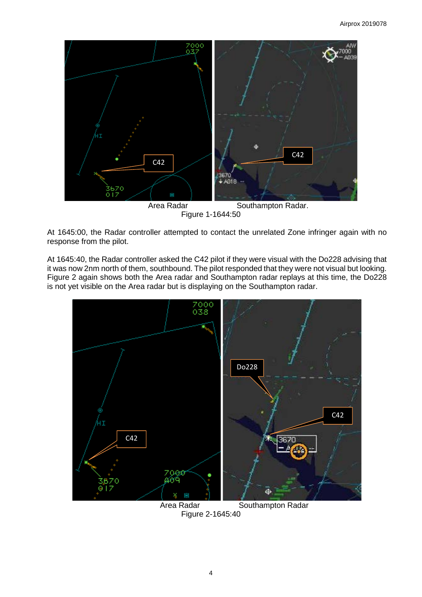

At 1645:00, the Radar controller attempted to contact the unrelated Zone infringer again with no response from the pilot.

At 1645:40, the Radar controller asked the C42 pilot if they were visual with the Do228 advising that it was now 2nm north of them, southbound. The pilot responded that they were not visual but looking. Figure 2 again shows both the Area radar and Southampton radar replays at this time, the Do228 is not yet visible on the Area radar but is displaying on the Southampton radar.



Figure 2-1645:40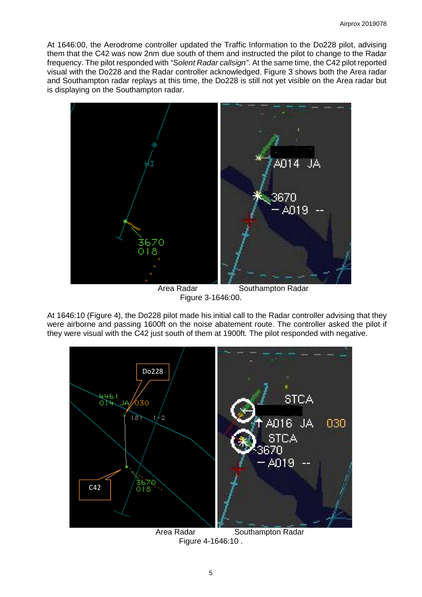At 1646:00, the Aerodrome controller updated the Traffic Information to the Do228 pilot, advising them that the C42 was now 2nm due south of them and instructed the pilot to change to the Radar frequency. The pilot responded with *"Solent Radar callsign"*. At the same time, the C42 pilot reported visual with the Do228 and the Radar controller acknowledged. Figure 3 shows both the Area radar and Southampton radar replays at this time, the Do228 is still not yet visible on the Area radar but is displaying on the Southampton radar.



Area Radar **Southampton Radar** Figure 3-1646:00.

At 1646:10 (Figure 4), the Do228 pilot made his initial call to the Radar controller advising that they were airborne and passing 1600ft on the noise abatement route. The controller asked the pilot if they were visual with the C42 just south of them at 1900ft. The pilot responded with negative.



Figure 4-1646:10 .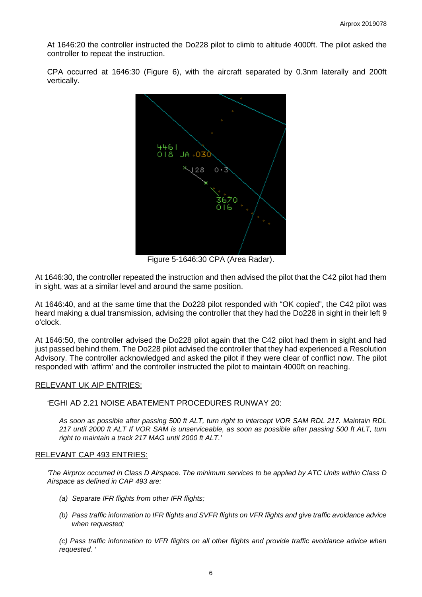At 1646:20 the controller instructed the Do228 pilot to climb to altitude 4000ft. The pilot asked the controller to repeat the instruction.

CPA occurred at 1646:30 (Figure 6), with the aircraft separated by 0.3nm laterally and 200ft vertically.



Figure 5-1646:30 CPA (Area Radar).

At 1646:30, the controller repeated the instruction and then advised the pilot that the C42 pilot had them in sight, was at a similar level and around the same position.

At 1646:40, and at the same time that the Do228 pilot responded with "OK copied", the C42 pilot was heard making a dual transmission, advising the controller that they had the Do228 in sight in their left 9 o'clock.

At 1646:50, the controller advised the Do228 pilot again that the C42 pilot had them in sight and had just passed behind them. The Do228 pilot advised the controller that they had experienced a Resolution Advisory. The controller acknowledged and asked the pilot if they were clear of conflict now. The pilot responded with 'affirm' and the controller instructed the pilot to maintain 4000ft on reaching.

#### RELEVANT UK AIP ENTRIES:

'EGHI AD 2.21 NOISE ABATEMENT PROCEDURES RUNWAY 20:

*As soon as possible after passing 500 ft ALT, turn right to intercept VOR SAM RDL 217. Maintain RDL 217 until 2000 ft ALT If VOR SAM is unserviceable, as soon as possible after passing 500 ft ALT, turn right to maintain a track 217 MAG until 2000 ft ALT.'*

#### RELEVANT CAP 493 ENTRIES:

*'The Airprox occurred in Class D Airspace. The minimum services to be applied by ATC Units within Class D Airspace as defined in CAP 493 are:*

- *(a) Separate IFR flights from other IFR flights;*
- *(b) Pass traffic information to IFR flights and SVFR flights on VFR flights and give traffic avoidance advice when requested;*

*(c) Pass traffic information to VFR flights on all other flights and provide traffic avoidance advice when requested. '*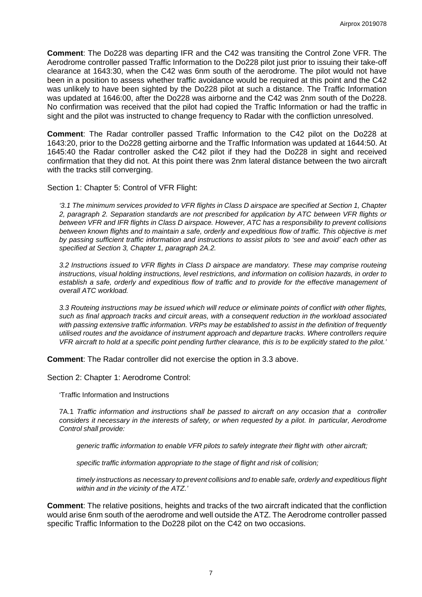**Comment**: The Do228 was departing IFR and the C42 was transiting the Control Zone VFR. The Aerodrome controller passed Traffic Information to the Do228 pilot just prior to issuing their take-off clearance at 1643:30, when the C42 was 6nm south of the aerodrome. The pilot would not have been in a position to assess whether traffic avoidance would be required at this point and the C42 was unlikely to have been sighted by the Do228 pilot at such a distance. The Traffic Information was updated at 1646:00, after the Do228 was airborne and the C42 was 2nm south of the Do228. No confirmation was received that the pilot had copied the Traffic Information or had the traffic in sight and the pilot was instructed to change frequency to Radar with the confliction unresolved.

**Comment**: The Radar controller passed Traffic Information to the C42 pilot on the Do228 at 1643:20, prior to the Do228 getting airborne and the Traffic Information was updated at 1644:50. At 1645:40 the Radar controller asked the C42 pilot if they had the Do228 in sight and received confirmation that they did not. At this point there was 2nm lateral distance between the two aircraft with the tracks still converging.

Section 1: Chapter 5: Control of VFR Flight:

*'3.1 The minimum services provided to VFR flights in Class D airspace are specified at Section 1, Chapter 2, paragraph 2. Separation standards are not prescribed for application by ATC between VFR flights or between VFR and IFR flights in Class D airspace. However, ATC has a responsibility to prevent collisions between known flights and to maintain a safe, orderly and expeditious flow of traffic. This objective is met by passing sufficient traffic information and instructions to assist pilots to 'see and avoid' each other as specified at Section 3, Chapter 1, paragraph 2A.2.* 

*3.2 Instructions issued to VFR flights in Class D airspace are mandatory. These may comprise routeing instructions, visual holding instructions, level restrictions, and information on collision hazards, in order to establish a safe, orderly and expeditious flow of traffic and to provide for the effective management of overall ATC workload.* 

*3.3 Routeing instructions may be issued which will reduce or eliminate points of conflict with other flights, such as final approach tracks and circuit areas, with a consequent reduction in the workload associated with passing extensive traffic information. VRPs may be established to assist in the definition of frequently utilised routes and the avoidance of instrument approach and departure tracks. Where controllers require VFR aircraft to hold at a specific point pending further clearance, this is to be explicitly stated to the pilot.'*

**Comment**: The Radar controller did not exercise the option in 3.3 above.

Section 2: Chapter 1: Aerodrome Control:

'Traffic Information and Instructions

7A.1 *Traffic information and instructions shall be passed to aircraft on any occasion that a controller considers it necessary in the interests of safety, or when requested by a pilot. In particular, Aerodrome Control shall provide:*

*generic traffic information to enable VFR pilots to safely integrate their flight with other aircraft;*

*specific traffic information appropriate to the stage of flight and risk of collision;*

*timely instructions as necessary to prevent collisions and to enable safe, orderly and expeditious flight within and in the vicinity of the ATZ.'*

**Comment**: The relative positions, heights and tracks of the two aircraft indicated that the confliction would arise 6nm south of the aerodrome and well outside the ATZ. The Aerodrome controller passed specific Traffic Information to the Do228 pilot on the C42 on two occasions.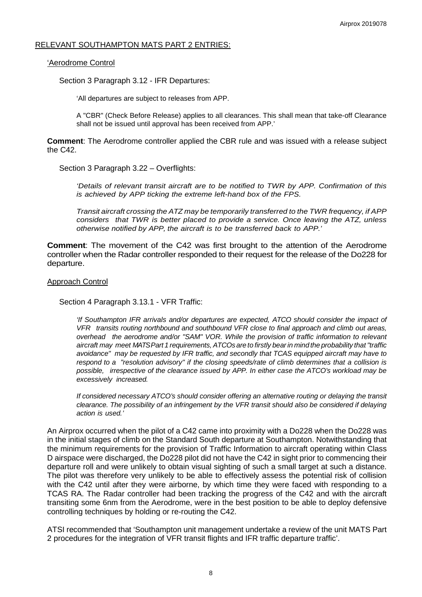## RELEVANT SOUTHAMPTON MATS PART 2 ENTRIES:

#### 'Aerodrome Control

Section 3 Paragraph 3.12 - IFR Departures:

'All departures are subject to releases from APP.

A "CBR" (Check Before Release) applies to all clearances. This shall mean that take-off Clearance shall not be issued until approval has been received from APP.'

**Comment**: The Aerodrome controller applied the CBR rule and was issued with a release subject the C42.

Section 3 Paragraph 3.22 – Overflights:

*'Details of relevant transit aircraft are to be notified to TWR by APP. Confirmation of this is achieved by APP ticking the extreme left-hand box of the FPS.*

*Transit aircraft crossing the ATZ may be temporarily transferred to the TWR frequency, if APP considers that TWR is better placed to provide a service. Once leaving the ATZ, unless otherwise notified by APP, the aircraft is to be transferred back to APP.'*

**Comment**: The movement of the C42 was first brought to the attention of the Aerodrome controller when the Radar controller responded to their request for the release of the Do228 for departure.

#### Approach Control

Section 4 Paragraph 3.13.1 - VFR Traffic:

*'If Southampton IFR arrivals and/or departures are expected, ATCO should consider the impact of VFR transits routing northbound and southbound VFR close to final approach and climb out areas, overhead the aerodrome and/or "SAM" VOR. While the provision of traffic information to relevant aircraft may meet MATS Part 1 requirements, ATCOs are to firstly bearin mind the probability that"traffic avoidance" may be requested by IFR traffic, and secondly that TCAS equipped aircraft may have to respond to a "resolution advisory" if the closing speeds/rate of climb determines that a collision is possible, irrespective of the clearance issued by APP. In either case the ATCO's workload may be excessively increased.*

*If considered necessary ATCO's should consider offering an alternative routing or delaying the transit clearance. The possibility of an infringement by the VFR transit should also be considered if delaying action is used.'*

An Airprox occurred when the pilot of a C42 came into proximity with a Do228 when the Do228 was in the initial stages of climb on the Standard South departure at Southampton. Notwithstanding that the minimum requirements for the provision of Traffic Information to aircraft operating within Class D airspace were discharged, the Do228 pilot did not have the C42 in sight prior to commencing their departure roll and were unlikely to obtain visual sighting of such a small target at such a distance. The pilot was therefore very unlikely to be able to effectively assess the potential risk of collision with the C42 until after they were airborne, by which time they were faced with responding to a TCAS RA. The Radar controller had been tracking the progress of the C42 and with the aircraft transiting some 6nm from the Aerodrome, were in the best position to be able to deploy defensive controlling techniques by holding or re-routing the C42.

ATSI recommended that 'Southampton unit management undertake a review of the unit MATS Part 2 procedures for the integration of VFR transit flights and IFR traffic departure traffic'.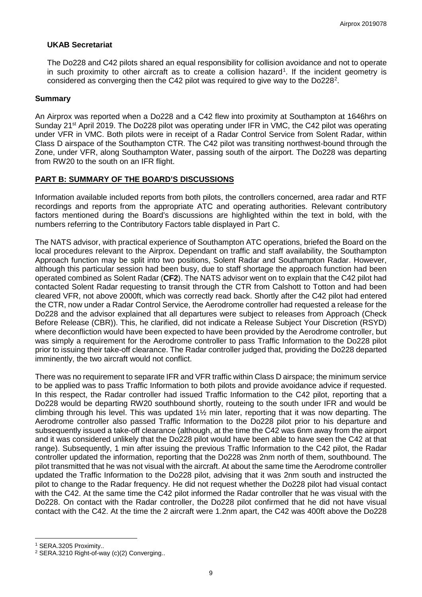## **UKAB Secretariat**

The Do228 and C42 pilots shared an equal responsibility for collision avoidance and not to operate in such proximity to other aircraft as to create a collision hazard<sup>[1](#page-8-0)</sup>. If the incident geometry is considered as converging then the C4[2](#page-8-1) pilot was required to give way to the Do228<sup>2</sup>.

## **Summary**

An Airprox was reported when a Do228 and a C42 flew into proximity at Southampton at 1646hrs on Sunday 21<sup>st</sup> April 2019. The Do228 pilot was operating under IFR in VMC, the C42 pilot was operating under VFR in VMC. Both pilots were in receipt of a Radar Control Service from Solent Radar, within Class D airspace of the Southampton CTR. The C42 pilot was transiting northwest-bound through the Zone, under VFR, along Southampton Water, passing south of the airport. The Do228 was departing from RW20 to the south on an IFR flight.

## **PART B: SUMMARY OF THE BOARD'S DISCUSSIONS**

Information available included reports from both pilots, the controllers concerned, area radar and RTF recordings and reports from the appropriate ATC and operating authorities. Relevant contributory factors mentioned during the Board's discussions are highlighted within the text in bold, with the numbers referring to the Contributory Factors table displayed in Part C.

The NATS advisor, with practical experience of Southampton ATC operations, briefed the Board on the local procedures relevant to the Airprox. Dependant on traffic and staff availability, the Southampton Approach function may be split into two positions, Solent Radar and Southampton Radar. However, although this particular session had been busy, due to staff shortage the approach function had been operated combined as Solent Radar (**CF2**). The NATS advisor went on to explain that the C42 pilot had contacted Solent Radar requesting to transit through the CTR from Calshott to Totton and had been cleared VFR, not above 2000ft, which was correctly read back. Shortly after the C42 pilot had entered the CTR, now under a Radar Control Service, the Aerodrome controller had requested a release for the Do228 and the advisor explained that all departures were subject to releases from Approach (Check Before Release (CBR)). This, he clarified, did not indicate a Release Subject Your Discretion (RSYD) where deconfliction would have been expected to have been provided by the Aerodrome controller, but was simply a requirement for the Aerodrome controller to pass Traffic Information to the Do228 pilot prior to issuing their take-off clearance. The Radar controller judged that, providing the Do228 departed imminently, the two aircraft would not conflict.

There was no requirement to separate IFR and VFR traffic within Class D airspace; the minimum service to be applied was to pass Traffic Information to both pilots and provide avoidance advice if requested. In this respect, the Radar controller had issued Traffic Information to the C42 pilot, reporting that a Do228 would be departing RW20 southbound shortly, routeing to the south under IFR and would be climbing through his level. This was updated 1½ min later, reporting that it was now departing. The Aerodrome controller also passed Traffic Information to the Do228 pilot prior to his departure and subsequently issued a take-off clearance (although, at the time the C42 was 6nm away from the airport and it was considered unlikely that the Do228 pilot would have been able to have seen the C42 at that range). Subsequently, 1 min after issuing the previous Traffic Information to the C42 pilot, the Radar controller updated the information, reporting that the Do228 was 2nm north of them, southbound. The pilot transmitted that he was not visual with the aircraft. At about the same time the Aerodrome controller updated the Traffic Information to the Do228 pilot, advising that it was 2nm south and instructed the pilot to change to the Radar frequency. He did not request whether the Do228 pilot had visual contact with the C42. At the same time the C42 pilot informed the Radar controller that he was visual with the Do228. On contact with the Radar controller, the Do228 pilot confirmed that he did not have visual contact with the C42. At the time the 2 aircraft were 1.2nm apart, the C42 was 400ft above the Do228

 $\overline{\phantom{a}}$ 

<span id="page-8-0"></span><sup>1</sup> SERA.3205 Proximity..

<span id="page-8-1"></span><sup>2</sup> SERA.3210 Right-of-way (c)(2) Converging..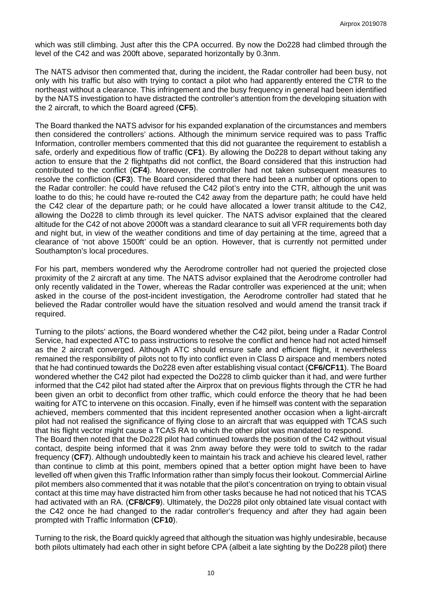which was still climbing. Just after this the CPA occurred. By now the Do228 had climbed through the level of the C42 and was 200ft above, separated horizontally by 0.3nm.

The NATS advisor then commented that, during the incident, the Radar controller had been busy, not only with his traffic but also with trying to contact a pilot who had apparently entered the CTR to the northeast without a clearance. This infringement and the busy frequency in general had been identified by the NATS investigation to have distracted the controller's attention from the developing situation with the 2 aircraft, to which the Board agreed (**CF5**).

The Board thanked the NATS advisor for his expanded explanation of the circumstances and members then considered the controllers' actions. Although the minimum service required was to pass Traffic Information, controller members commented that this did not guarantee the requirement to establish a safe, orderly and expeditious flow of traffic (**CF1**). By allowing the Do228 to depart without taking any action to ensure that the 2 flightpaths did not conflict, the Board considered that this instruction had contributed to the conflict (**CF4**). Moreover, the controller had not taken subsequent measures to resolve the confliction (**CF3**). The Board considered that there had been a number of options open to the Radar controller: he could have refused the C42 pilot's entry into the CTR, although the unit was loathe to do this; he could have re-routed the C42 away from the departure path; he could have held the C42 clear of the departure path; or he could have allocated a lower transit altitude to the C42, allowing the Do228 to climb through its level quicker. The NATS advisor explained that the cleared altitude for the C42 of not above 2000ft was a standard clearance to suit all VFR requirements both day and night but, in view of the weather conditions and time of day pertaining at the time, agreed that a clearance of 'not above 1500ft' could be an option. However, that is currently not permitted under Southampton's local procedures.

For his part, members wondered why the Aerodrome controller had not queried the projected close proximity of the 2 aircraft at any time. The NATS advisor explained that the Aerodrome controller had only recently validated in the Tower, whereas the Radar controller was experienced at the unit; when asked in the course of the post-incident investigation, the Aerodrome controller had stated that he believed the Radar controller would have the situation resolved and would amend the transit track if required.

Turning to the pilots' actions, the Board wondered whether the C42 pilot, being under a Radar Control Service, had expected ATC to pass instructions to resolve the conflict and hence had not acted himself as the 2 aircraft converged. Although ATC should ensure safe and efficient flight, it nevertheless remained the responsibility of pilots not to fly into conflict even in Class D airspace and members noted that he had continued towards the Do228 even after establishing visual contact (**CF6/CF11**). The Board wondered whether the C42 pilot had expected the Do228 to climb quicker than it had, and were further informed that the C42 pilot had stated after the Airprox that on previous flights through the CTR he had been given an orbit to deconflict from other traffic, which could enforce the theory that he had been waiting for ATC to intervene on this occasion. Finally, even if he himself was content with the separation achieved, members commented that this incident represented another occasion when a light-aircraft pilot had not realised the significance of flying close to an aircraft that was equipped with TCAS such that his flight vector might cause a TCAS RA to which the other pilot was mandated to respond.

The Board then noted that the Do228 pilot had continued towards the position of the C42 without visual contact, despite being informed that it was 2nm away before they were told to switch to the radar frequency (**CF7**). Although undoubtedly keen to maintain his track and achieve his cleared level, rather than continue to climb at this point, members opined that a better option might have been to have levelled off when given this Traffic Information rather than simply focus their lookout. Commercial Airline pilot members also commented that it was notable that the pilot's concentration on trying to obtain visual contact at this time may have distracted him from other tasks because he had not noticed that his TCAS had activated with an RA. (**CF8/CF9**). Ultimately, the Do228 pilot only obtained late visual contact with the C42 once he had changed to the radar controller's frequency and after they had again been prompted with Traffic Information (**CF10**).

Turning to the risk, the Board quickly agreed that although the situation was highly undesirable, because both pilots ultimately had each other in sight before CPA (albeit a late sighting by the Do228 pilot) there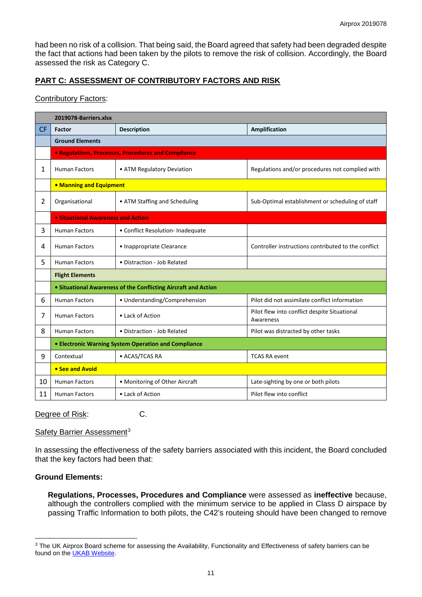had been no risk of a collision. That being said, the Board agreed that safety had been degraded despite the fact that actions had been taken by the pilots to remove the risk of collision. Accordingly, the Board assessed the risk as Category C.

# **PART C: ASSESSMENT OF CONTRIBUTORY FACTORS AND RISK**

## Contributory Factors:

|              | 2019078-Barriers.xlsx                                          |                                   |                                                           |  |  |  |  |  |  |  |
|--------------|----------------------------------------------------------------|-----------------------------------|-----------------------------------------------------------|--|--|--|--|--|--|--|
| <b>CF</b>    | <b>Factor</b>                                                  | <b>Description</b>                | <b>Amplification</b>                                      |  |  |  |  |  |  |  |
|              | <b>Ground Elements</b>                                         |                                   |                                                           |  |  |  |  |  |  |  |
|              | <b>• Regulations, Processes, Procedures and Compliance</b>     |                                   |                                                           |  |  |  |  |  |  |  |
| $\mathbf{1}$ | <b>Human Factors</b>                                           | • ATM Regulatory Deviation        | Regulations and/or procedures not complied with           |  |  |  |  |  |  |  |
|              | • Manning and Equipment                                        |                                   |                                                           |  |  |  |  |  |  |  |
| 2            | Organisational                                                 | • ATM Staffing and Scheduling     | Sub-Optimal establishment or scheduling of staff          |  |  |  |  |  |  |  |
|              | • Situational Awareness and Action                             |                                   |                                                           |  |  |  |  |  |  |  |
| 3            | <b>Human Factors</b>                                           | • Conflict Resolution- Inadequate |                                                           |  |  |  |  |  |  |  |
| 4            | <b>Human Factors</b>                                           | • Inappropriate Clearance         | Controller instructions contributed to the conflict       |  |  |  |  |  |  |  |
| 5            | <b>Human Factors</b>                                           | • Distraction - Job Related       |                                                           |  |  |  |  |  |  |  |
|              | <b>Flight Elements</b>                                         |                                   |                                                           |  |  |  |  |  |  |  |
|              | • Situational Awareness of the Conflicting Aircraft and Action |                                   |                                                           |  |  |  |  |  |  |  |
| 6            | <b>Human Factors</b>                                           | • Understanding/Comprehension     | Pilot did not assimilate conflict information             |  |  |  |  |  |  |  |
| 7            | <b>Human Factors</b>                                           | • Lack of Action                  | Pilot flew into conflict despite Situational<br>Awareness |  |  |  |  |  |  |  |
| 8            | <b>Human Factors</b>                                           | • Distraction - Job Related       | Pilot was distracted by other tasks                       |  |  |  |  |  |  |  |
|              | • Electronic Warning System Operation and Compliance           |                                   |                                                           |  |  |  |  |  |  |  |
| 9            | Contextual                                                     | • ACAS/TCAS RA                    | <b>TCAS RA event</b>                                      |  |  |  |  |  |  |  |
|              | • See and Avoid                                                |                                   |                                                           |  |  |  |  |  |  |  |
| 10           | <b>Human Factors</b>                                           | • Monitoring of Other Aircraft    | Late-sighting by one or both pilots                       |  |  |  |  |  |  |  |
| 11           | <b>Human Factors</b>                                           | • Lack of Action                  | Pilot flew into conflict                                  |  |  |  |  |  |  |  |

Degree of Risk: C.

#### Safety Barrier Assessment<sup>[3](#page-10-0)</sup>

In assessing the effectiveness of the safety barriers associated with this incident, the Board concluded that the key factors had been that:

# **Ground Elements:**

 $\overline{\phantom{a}}$ 

**Regulations, Processes, Procedures and Compliance** were assessed as **ineffective** because, although the controllers complied with the minimum service to be applied in Class D airspace by passing Traffic Information to both pilots, the C42's routeing should have been changed to remove

<span id="page-10-0"></span><sup>&</sup>lt;sup>3</sup> The UK Airprox Board scheme for assessing the Availability, Functionality and Effectiveness of safety barriers can be found on the **UKAB Website**.